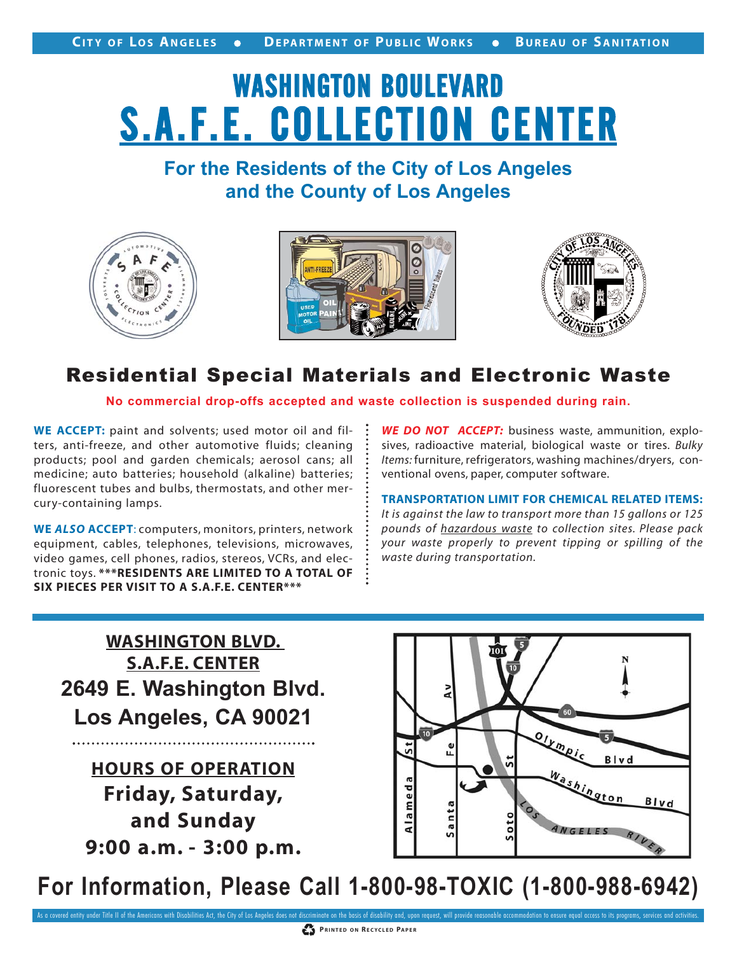# WASHINGTON BOULEVARD S.A.F.E. COLLECTION CENTER

### **For the Residents of the City of Los Angeles and the County of Los Angeles**







#### Residential Special Materials and Electronic Waste

**No commercial drop-offs accepted and waste collection is suspended during rain.**

**WE ACCEPT:** paint and solvents; used motor oil and filters, anti-freeze, and other automotive fluids; cleaning products; pool and garden chemicals; aerosol cans; all medicine; auto batteries; household (alkaline) batteries; fluorescent tubes and bulbs, thermostats, and other mercury-containing lamps.

**WE** *ALSO* **ACCEPT**: computers, monitors, printers, network equipment, cables, telephones, televisions, microwaves, video games, cell phones, radios, stereos, VCRs, and electronic toys. **\*\*\*RESIDENTS ARE LIMITED TO A TOTAL OF SIX PIECES PER VISIT TO A S.A.F.E. CENTER\*\*\***

*WE DO NOT ACCEPT:* business waste, ammunition, explosives, radioactive material, biological waste or tires. *Bulky Items:* furniture, refrigerators, washing machines/dryers, conventional ovens, paper, computer software.

**TRANSPORTATION LIMIT FOR CHEMICAL RELATED ITEMS:** *It is against the law to transport more than 15 gallons or 125 pounds of hazardous waste to collection sites. Please pack your waste properly to prevent tipping or spilling of the waste during transportation.*

**2649 E. Washington Blvd. Los Angeles, CA 90021 WASHINGTON BLVD. S.A.F.E. CENTER**

**HOURS OF OPERATION Friday, Saturday, and Sunday 9:00 a.m. - 3:00 p.m.**



**For Information, Please Call 1-800-98-TOXIC (1-800-988-6942)**